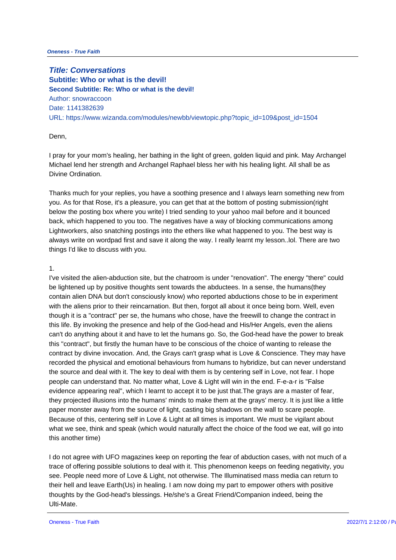**Title: Conversations Subtitle: Who or what is the devil! Second Subtitle: Re: Who or what is the devil!** Author: snowraccoon Date: 1141382639 URL: https://www.wizanda.com/modules/newbb/viewtopic.php?topic\_id=109&

## Denn,

I pray for your mom's healing, her bathing in the light of green, golden liqu Michael lend her strength and Archangel Raphael bless her with his healing Divine Ordination.

Thanks much for your replies, you have a soothing presence and I always I you. As for that Rose, it's a pleasure, you can get that at the bottom of po below the posting box where you write) I tried sending to your yahoo mail b back, which happened to you too. The negatives have a way of blocking cor Lightworkers, also snatching postings into the ethers like what happened to always write on wordpad first and save it along the way. I really learnt my things I'd like to discuss with you.

1.

I've visited the alien-abduction site, but the chatroom is under "renovation be lightened up by positive thoughts sent towards the abductees. In a sens contain alien DNA but don't consciously know) who reported abductions cho with the aliens prior to their reincarnation. But then, forgot all about it one though it is a "contract" per se, the humans who chose, have the freewill to this life. By invoking the presence and help of the God-head and His/Her A can't do anything about it and have to let the humans go. So, the God-head this "contract", but firstly the human have to be conscious of the choice of contract by divine invocation. And, the Grays can't grasp what is Love & Constant recorded the physical and emotional behaviours from humans to hybridize, the source and deal with it. The key to deal with them is by centering self people can understand that. No matter what, Love & Light will win in the er evidence appearing real", which I learnt to accept it to be just that. The gra they projected illusions into the humans' minds to make them at the grays' paper monster away from the source of light, casting big shadows on the wall Because of this, centering self in Love & Light at all times is important. We what we see, think and speak (which would naturally affect the choice of th this another time)

I do not agree with UFO magazines keep on reporting the fear of abduction trace of offering possible solutions to deal with it. This phenomenon keeps see. People need more of Love & Light, not otherwise. The Illuminatised mas their hell and leave Earth(Us) in healing. I am now doing my part to empow thoughts by the God-head's blessings. He/she's a Great Friend/Companion Ulti-Mate.